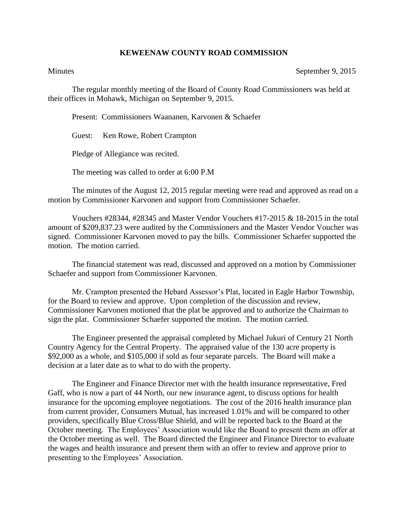## **KEWEENAW COUNTY ROAD COMMISSION**

Minutes September 9, 2015

The regular monthly meeting of the Board of County Road Commissioners was held at their offices in Mohawk, Michigan on September 9, 2015.

Present: Commissioners Waananen, Karvonen & Schaefer

Guest: Ken Rowe, Robert Crampton

Pledge of Allegiance was recited.

The meeting was called to order at 6:00 P.M

The minutes of the August 12, 2015 regular meeting were read and approved as read on a motion by Commissioner Karvonen and support from Commissioner Schaefer.

Vouchers #28344, #28345 and Master Vendor Vouchers #17-2015 & 18-2015 in the total amount of \$209,837.23 were audited by the Commissioners and the Master Vendor Voucher was signed. Commissioner Karvonen moved to pay the bills. Commissioner Schaefer supported the motion. The motion carried.

The financial statement was read, discussed and approved on a motion by Commissioner Schaefer and support from Commissioner Karvonen.

Mr. Crampton presented the Hebard Assessor's Plat, located in Eagle Harbor Township, for the Board to review and approve. Upon completion of the discussion and review, Commissioner Karvonen motioned that the plat be approved and to authorize the Chairman to sign the plat. Commissioner Schaefer supported the motion. The motion carried.

The Engineer presented the appraisal completed by Michael Jukuri of Century 21 North Country Agency for the Central Property. The appraised value of the 130 acre property is \$92,000 as a whole, and \$105,000 if sold as four separate parcels. The Board will make a decision at a later date as to what to do with the property.

The Engineer and Finance Director met with the health insurance representative, Fred Gaff, who is now a part of 44 North, our new insurance agent, to discuss options for health insurance for the upcoming employee negotiations. The cost of the 2016 health insurance plan from current provider, Consumers Mutual, has increased 1.01% and will be compared to other providers, specifically Blue Cross/Blue Shield, and will be reported back to the Board at the October meeting. The Employees' Association would like the Board to present them an offer at the October meeting as well. The Board directed the Engineer and Finance Director to evaluate the wages and health insurance and present them with an offer to review and approve prior to presenting to the Employees' Association.